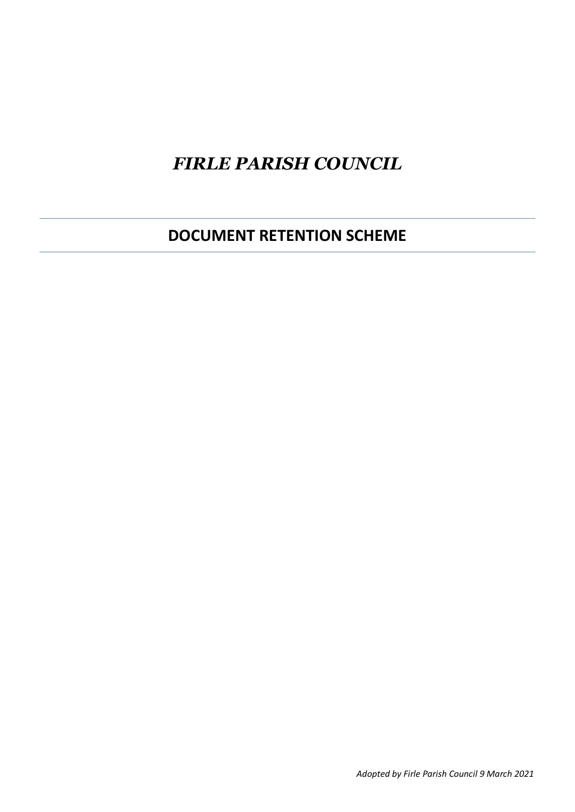## *FIRLE PARISH COUNCIL*

**DOCUMENT RETENTION SCHEME**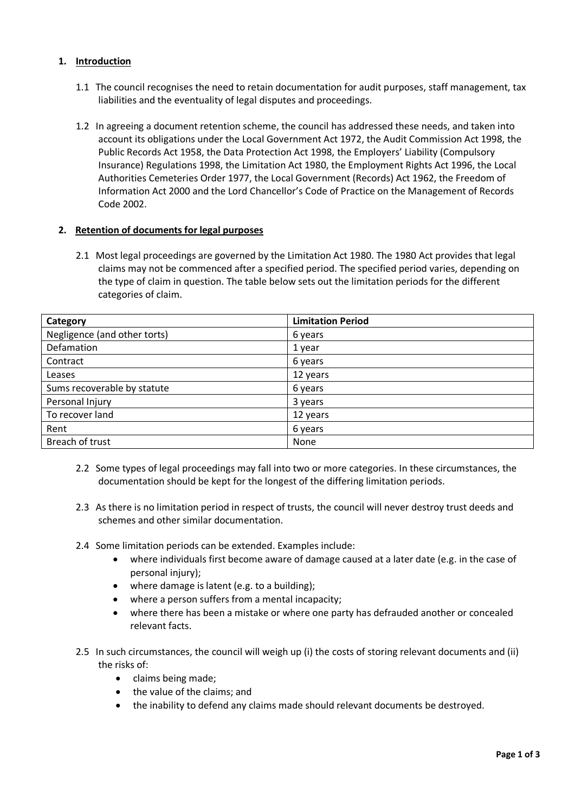## **1. Introduction**

- 1.1 The council recognises the need to retain documentation for audit purposes, staff management, tax liabilities and the eventuality of legal disputes and proceedings.
- 1.2 In agreeing a document retention scheme, the council has addressed these needs, and taken into account its obligations under the Local Government Act 1972, the Audit Commission Act 1998, the Public Records Act 1958, the Data Protection Act 1998, the Employers' Liability (Compulsory Insurance) Regulations 1998, the Limitation Act 1980, the Employment Rights Act 1996, the Local Authorities Cemeteries Order 1977, the Local Government (Records) Act 1962, the Freedom of Information Act 2000 and the Lord Chancellor's Code of Practice on the Management of Records Code 2002.

## **2. Retention of documents for legal purposes**

2.1 Most legal proceedings are governed by the Limitation Act 1980. The 1980 Act provides that legal claims may not be commenced after a specified period. The specified period varies, depending on the type of claim in question. The table below sets out the limitation periods for the different categories of claim.

| Category                     | <b>Limitation Period</b> |
|------------------------------|--------------------------|
| Negligence (and other torts) | 6 years                  |
| Defamation                   | 1 year                   |
| Contract                     | 6 years                  |
| Leases                       | 12 years                 |
| Sums recoverable by statute  | 6 years                  |
| Personal Injury              | 3 years                  |
| To recover land              | 12 years                 |
| Rent                         | 6 years                  |
| Breach of trust              | None                     |

- 2.2 Some types of legal proceedings may fall into two or more categories. In these circumstances, the documentation should be kept for the longest of the differing limitation periods.
- 2.3 As there is no limitation period in respect of trusts, the council will never destroy trust deeds and schemes and other similar documentation.
- 2.4 Some limitation periods can be extended. Examples include:
	- where individuals first become aware of damage caused at a later date (e.g. in the case of personal injury);
	- where damage is latent (e.g. to a building);
	- where a person suffers from a mental incapacity;
	- where there has been a mistake or where one party has defrauded another or concealed relevant facts.
- 2.5 In such circumstances, the council will weigh up (i) the costs of storing relevant documents and (ii) the risks of:
	- claims being made;
	- the value of the claims; and
	- the inability to defend any claims made should relevant documents be destroyed.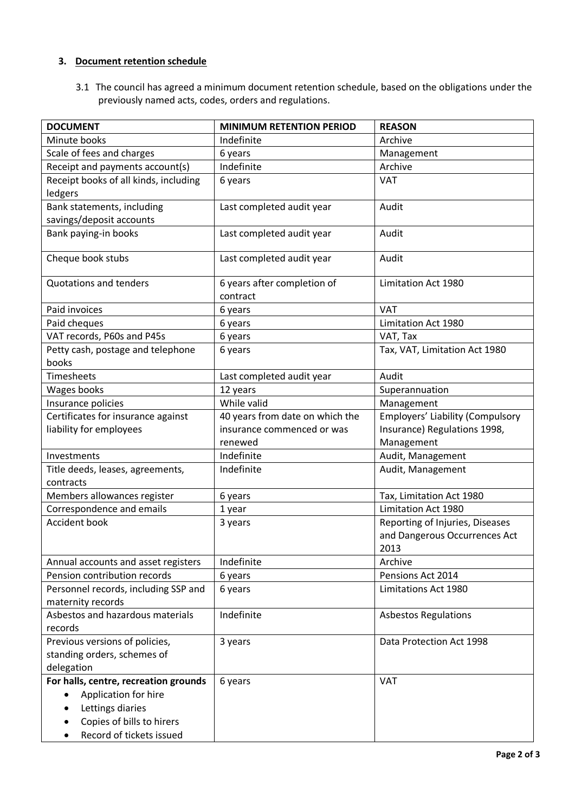## **3. Document retention schedule**

3.1 The council has agreed a minimum document retention schedule, based on the obligations under the previously named acts, codes, orders and regulations.

| <b>DOCUMENT</b>                                                                                                                            | <b>MINIMUM RETENTION PERIOD</b>         | <b>REASON</b>                                                            |
|--------------------------------------------------------------------------------------------------------------------------------------------|-----------------------------------------|--------------------------------------------------------------------------|
| Minute books                                                                                                                               | Indefinite                              | Archive                                                                  |
| Scale of fees and charges                                                                                                                  | 6 years                                 | Management                                                               |
| Receipt and payments account(s)                                                                                                            | Indefinite                              | Archive                                                                  |
| Receipt books of all kinds, including<br>ledgers                                                                                           | 6 years                                 | <b>VAT</b>                                                               |
| Bank statements, including<br>savings/deposit accounts                                                                                     | Last completed audit year               | Audit                                                                    |
| Bank paying-in books                                                                                                                       | Last completed audit year               | Audit                                                                    |
| Cheque book stubs                                                                                                                          | Last completed audit year               | Audit                                                                    |
| <b>Quotations and tenders</b>                                                                                                              | 6 years after completion of<br>contract | Limitation Act 1980                                                      |
| Paid invoices                                                                                                                              | 6 years                                 | <b>VAT</b>                                                               |
| Paid cheques                                                                                                                               | 6 years                                 | Limitation Act 1980                                                      |
| VAT records, P60s and P45s                                                                                                                 | 6 years                                 | VAT, Tax                                                                 |
| Petty cash, postage and telephone<br>books                                                                                                 | 6 years                                 | Tax, VAT, Limitation Act 1980                                            |
| Timesheets                                                                                                                                 | Last completed audit year               | Audit                                                                    |
| Wages books                                                                                                                                | 12 years                                | Superannuation                                                           |
| Insurance policies                                                                                                                         | While valid                             | Management                                                               |
| Certificates for insurance against                                                                                                         | 40 years from date on which the         | <b>Employers' Liability (Compulsory</b>                                  |
| liability for employees                                                                                                                    | insurance commenced or was              | Insurance) Regulations 1998,                                             |
|                                                                                                                                            | renewed                                 | Management                                                               |
| Investments                                                                                                                                | Indefinite                              | Audit, Management                                                        |
| Title deeds, leases, agreements,                                                                                                           | Indefinite                              | Audit, Management                                                        |
| contracts                                                                                                                                  |                                         |                                                                          |
| Members allowances register                                                                                                                | 6 years                                 | Tax, Limitation Act 1980                                                 |
| Correspondence and emails                                                                                                                  | 1 year                                  | Limitation Act 1980                                                      |
| Accident book                                                                                                                              | 3 years                                 | Reporting of Injuries, Diseases<br>and Dangerous Occurrences Act<br>2013 |
| Annual accounts and asset registers                                                                                                        | Indefinite                              | Archive                                                                  |
| Pension contribution records                                                                                                               | 6 years                                 | Pensions Act 2014                                                        |
| Personnel records, including SSP and<br>maternity records                                                                                  | 6 years                                 | Limitations Act 1980                                                     |
| Asbestos and hazardous materials<br>records                                                                                                | Indefinite                              | <b>Asbestos Regulations</b>                                              |
| Previous versions of policies,<br>standing orders, schemes of<br>delegation                                                                | 3 years                                 | Data Protection Act 1998                                                 |
| For halls, centre, recreation grounds<br>Application for hire<br>Lettings diaries<br>Copies of bills to hirers<br>Record of tickets issued | 6 years                                 | <b>VAT</b>                                                               |